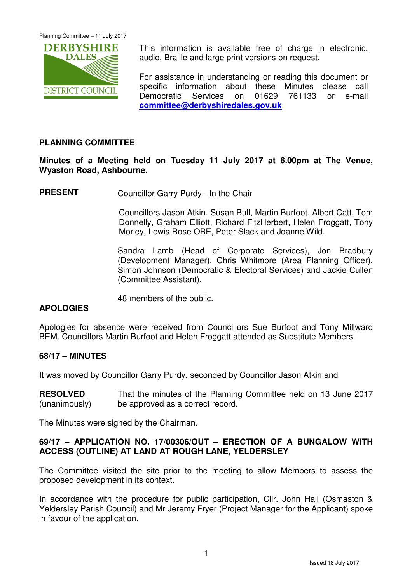Planning Committee – 11 July 2017



This information is available free of charge in electronic, audio, Braille and large print versions on request.

For assistance in understanding or reading this document or specific information about these Minutes please call Democratic Services on 01629 761133 or e-mail **committee@derbyshiredales.gov.uk**

# **PLANNING COMMITTEE**

**Minutes of a Meeting held on Tuesday 11 July 2017 at 6.00pm at The Venue, Wyaston Road, Ashbourne.** 

**PRESENT** Councillor Garry Purdy - In the Chair

 Councillors Jason Atkin, Susan Bull, Martin Burfoot, Albert Catt, Tom Donnelly, Graham Elliott, Richard FitzHerbert, Helen Froggatt, Tony Morley, Lewis Rose OBE, Peter Slack and Joanne Wild.

Sandra Lamb (Head of Corporate Services), Jon Bradbury (Development Manager), Chris Whitmore (Area Planning Officer), Simon Johnson (Democratic & Electoral Services) and Jackie Cullen (Committee Assistant).

48 members of the public.

# **APOLOGIES**

Apologies for absence were received from Councillors Sue Burfoot and Tony Millward BEM. Councillors Martin Burfoot and Helen Froggatt attended as Substitute Members.

# **68/17 – MINUTES**

It was moved by Councillor Garry Purdy, seconded by Councillor Jason Atkin and

**RESOLVED** (unanimously) That the minutes of the Planning Committee held on 13 June 2017 be approved as a correct record.

The Minutes were signed by the Chairman.

# **69/17 – APPLICATION NO. 17/00306/OUT – ERECTION OF A BUNGALOW WITH ACCESS (OUTLINE) AT LAND AT ROUGH LANE, YELDERSLEY**

The Committee visited the site prior to the meeting to allow Members to assess the proposed development in its context.

In accordance with the procedure for public participation, CIIr. John Hall (Osmaston & Yeldersley Parish Council) and Mr Jeremy Fryer (Project Manager for the Applicant) spoke in favour of the application.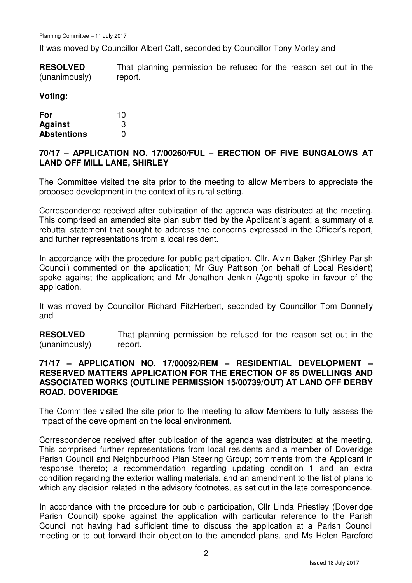It was moved by Councillor Albert Catt, seconded by Councillor Tony Morley and

**RESOLVED** (unanimously) That planning permission be refused for the reason set out in the report.

#### **Voting:**

| For                | 10 |
|--------------------|----|
| <b>Against</b>     | 3  |
| <b>Abstentions</b> | O  |

# **70/17 – APPLICATION NO. 17/00260/FUL – ERECTION OF FIVE BUNGALOWS AT LAND OFF MILL LANE, SHIRLEY**

The Committee visited the site prior to the meeting to allow Members to appreciate the proposed development in the context of its rural setting.

Correspondence received after publication of the agenda was distributed at the meeting. This comprised an amended site plan submitted by the Applicant's agent; a summary of a rebuttal statement that sought to address the concerns expressed in the Officer's report, and further representations from a local resident.

In accordance with the procedure for public participation, Cllr. Alvin Baker (Shirley Parish Council) commented on the application; Mr Guy Pattison (on behalf of Local Resident) spoke against the application; and Mr Jonathon Jenkin (Agent) spoke in favour of the application.

It was moved by Councillor Richard FitzHerbert, seconded by Councillor Tom Donnelly and

**RESOLVED** (unanimously) That planning permission be refused for the reason set out in the report.

# **71/17 – APPLICATION NO. 17/00092/REM – RESIDENTIAL DEVELOPMENT – RESERVED MATTERS APPLICATION FOR THE ERECTION OF 85 DWELLINGS AND ASSOCIATED WORKS (OUTLINE PERMISSION 15/00739/OUT) AT LAND OFF DERBY ROAD, DOVERIDGE**

The Committee visited the site prior to the meeting to allow Members to fully assess the impact of the development on the local environment.

Correspondence received after publication of the agenda was distributed at the meeting. This comprised further representations from local residents and a member of Doveridge Parish Council and Neighbourhood Plan Steering Group; comments from the Applicant in response thereto; a recommendation regarding updating condition 1 and an extra condition regarding the exterior walling materials, and an amendment to the list of plans to which any decision related in the advisory footnotes, as set out in the late correspondence.

In accordance with the procedure for public participation, Cllr Linda Priestley (Doveridge Parish Council) spoke against the application with particular reference to the Parish Council not having had sufficient time to discuss the application at a Parish Council meeting or to put forward their objection to the amended plans, and Ms Helen Bareford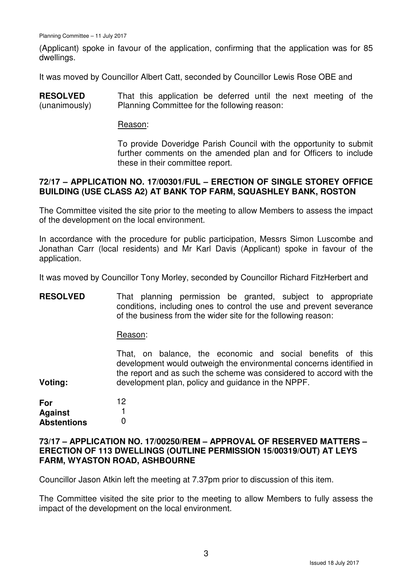(Applicant) spoke in favour of the application, confirming that the application was for 85 dwellings.

It was moved by Councillor Albert Catt, seconded by Councillor Lewis Rose OBE and

**RESOLVED** (unanimously) That this application be deferred until the next meeting of the Planning Committee for the following reason:

#### Reason:

To provide Doveridge Parish Council with the opportunity to submit further comments on the amended plan and for Officers to include these in their committee report.

#### **72/17 – APPLICATION NO. 17/00301/FUL – ERECTION OF SINGLE STOREY OFFICE BUILDING (USE CLASS A2) AT BANK TOP FARM, SQUASHLEY BANK, ROSTON**

The Committee visited the site prior to the meeting to allow Members to assess the impact of the development on the local environment.

In accordance with the procedure for public participation, Messrs Simon Luscombe and Jonathan Carr (local residents) and Mr Karl Davis (Applicant) spoke in favour of the application.

It was moved by Councillor Tony Morley, seconded by Councillor Richard FitzHerbert and

**RESOLVED** That planning permission be granted, subject to appropriate conditions, including ones to control the use and prevent severance of the business from the wider site for the following reason:

Reason:

That, on balance, the economic and social benefits of this development would outweigh the environmental concerns identified in the report and as such the scheme was considered to accord with the development plan, policy and guidance in the NPPF.

**For Against Abstentions** 12 1 0

**Voting:** 

#### **73/17 – APPLICATION NO. 17/00250/REM – APPROVAL OF RESERVED MATTERS – ERECTION OF 113 DWELLINGS (OUTLINE PERMISSION 15/00319/OUT) AT LEYS FARM, WYASTON ROAD, ASHBOURNE**

Councillor Jason Atkin left the meeting at 7.37pm prior to discussion of this item.

The Committee visited the site prior to the meeting to allow Members to fully assess the impact of the development on the local environment.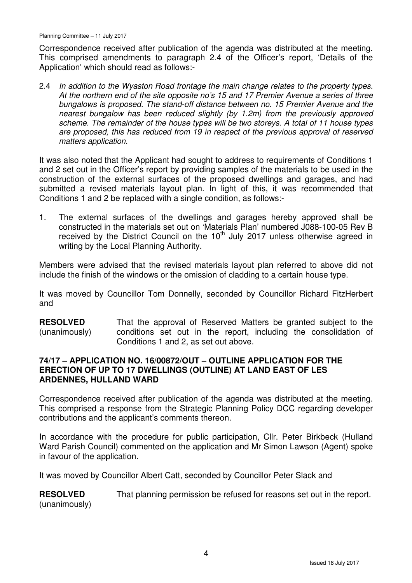Correspondence received after publication of the agenda was distributed at the meeting. This comprised amendments to paragraph 2.4 of the Officer's report, 'Details of the Application' which should read as follows:-

2.4 In addition to the Wyaston Road frontage the main change relates to the property types. At the northern end of the site opposite no's 15 and 17 Premier Avenue a series of three bungalows is proposed. The stand-off distance between no. 15 Premier Avenue and the nearest bungalow has been reduced slightly (by 1.2m) from the previously approved scheme. The remainder of the house types will be two storeys. A total of 11 house types are proposed, this has reduced from 19 in respect of the previous approval of reserved matters application.

It was also noted that the Applicant had sought to address to requirements of Conditions 1 and 2 set out in the Officer's report by providing samples of the materials to be used in the construction of the external surfaces of the proposed dwellings and garages, and had submitted a revised materials layout plan. In light of this, it was recommended that Conditions 1 and 2 be replaced with a single condition, as follows:-

1. The external surfaces of the dwellings and garages hereby approved shall be constructed in the materials set out on 'Materials Plan' numbered J088-100-05 Rev B received by the District Council on the  $10<sup>th</sup>$  July 2017 unless otherwise agreed in writing by the Local Planning Authority.

Members were advised that the revised materials layout plan referred to above did not include the finish of the windows or the omission of cladding to a certain house type.

It was moved by Councillor Tom Donnelly, seconded by Councillor Richard FitzHerbert and

**RESOLVED** (unanimously) That the approval of Reserved Matters be granted subject to the conditions set out in the report, including the consolidation of Conditions 1 and 2, as set out above.

# **74/17 – APPLICATION NO. 16/00872/OUT – OUTLINE APPLICATION FOR THE ERECTION OF UP TO 17 DWELLINGS (OUTLINE) AT LAND EAST OF LES ARDENNES, HULLAND WARD**

Correspondence received after publication of the agenda was distributed at the meeting. This comprised a response from the Strategic Planning Policy DCC regarding developer contributions and the applicant's comments thereon.

In accordance with the procedure for public participation, Cllr. Peter Birkbeck (Hulland Ward Parish Council) commented on the application and Mr Simon Lawson (Agent) spoke in favour of the application.

It was moved by Councillor Albert Catt, seconded by Councillor Peter Slack and

**RESOLVED** (unanimously) That planning permission be refused for reasons set out in the report.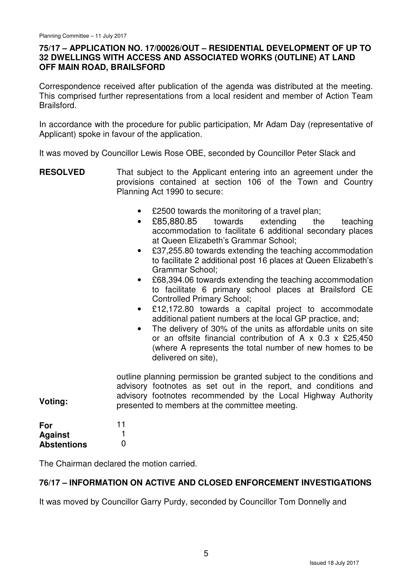# **75/17 – APPLICATION NO. 17/00026/OUT – RESIDENTIAL DEVELOPMENT OF UP TO 32 DWELLINGS WITH ACCESS AND ASSOCIATED WORKS (OUTLINE) AT LAND OFF MAIN ROAD, BRAILSFORD**

Correspondence received after publication of the agenda was distributed at the meeting. This comprised further representations from a local resident and member of Action Team Brailsford.

In accordance with the procedure for public participation, Mr Adam Day (representative of Applicant) spoke in favour of the application.

It was moved by Councillor Lewis Rose OBE, seconded by Councillor Peter Slack and

- **RESOLVED** That subject to the Applicant entering into an agreement under the provisions contained at section 106 of the Town and Country Planning Act 1990 to secure:
	- £2500 towards the monitoring of a travel plan;
	- £85,880.85 towards extending the teaching accommodation to facilitate 6 additional secondary places at Queen Elizabeth's Grammar School;
	- £37,255.80 towards extending the teaching accommodation to facilitate 2 additional post 16 places at Queen Elizabeth's Grammar School;
	- £68,394.06 towards extending the teaching accommodation to facilitate 6 primary school places at Brailsford CE Controlled Primary School;
	- £12,172.80 towards a capital project to accommodate additional patient numbers at the local GP practice, and;
	- The delivery of 30% of the units as affordable units on site or an offsite financial contribution of A x 0.3 x £25,450 (where A represents the total number of new homes to be delivered on site),

**Voting:**  outline planning permission be granted subject to the conditions and advisory footnotes as set out in the report, and conditions and advisory footnotes recommended by the Local Highway Authority presented to members at the committee meeting.

| For                | 11 |
|--------------------|----|
| <b>Against</b>     |    |
| <b>Abstentions</b> | O  |

The Chairman declared the motion carried.

# **76/17 – INFORMATION ON ACTIVE AND CLOSED ENFORCEMENT INVESTIGATIONS**

It was moved by Councillor Garry Purdy, seconded by Councillor Tom Donnelly and